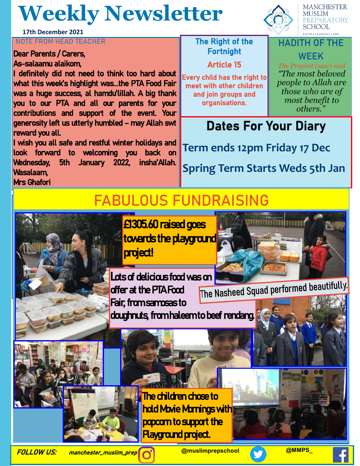## **Weekly Newsletter**

**17th December 2021**

#### **NOTE FROM HEAD TEACHER** THE RIGHT THE Right of the

#### Dear Parents / Carers, As-salaamu alaikom,

I definitely did not need to think too hard about what this week's highlight was...the PTA Food Fair was a huge success, al hamdu'lillah. A big thank you to our PTA and all our parents for your contributions and support of the event. Your generosity left us utterly humbled – may Allah swt reward you all.

I wish you all safe and restful winter holidays and look forward to welcoming you back on Wednesday, 5th January 2022, insha'Allah. Wasalaam, Mrs Ghafori

## Fortnight

#### Article 15

Every child has the right to meet with other children and join groups and organisations.

**MANCHESTER MUSLIM EPARATORY SCHOOL** 

#### **HADITH OF THE WEEK**

*The Prophet (saw) said "The most beloved people to Allah are those who are of most benefit to others."*

### **Dates For Your Diary**

**Term ends 12pm Friday 17 Dec**

**Spring Term Starts Weds 5th Jan**

## **FABULOUS FUNDRAISING**